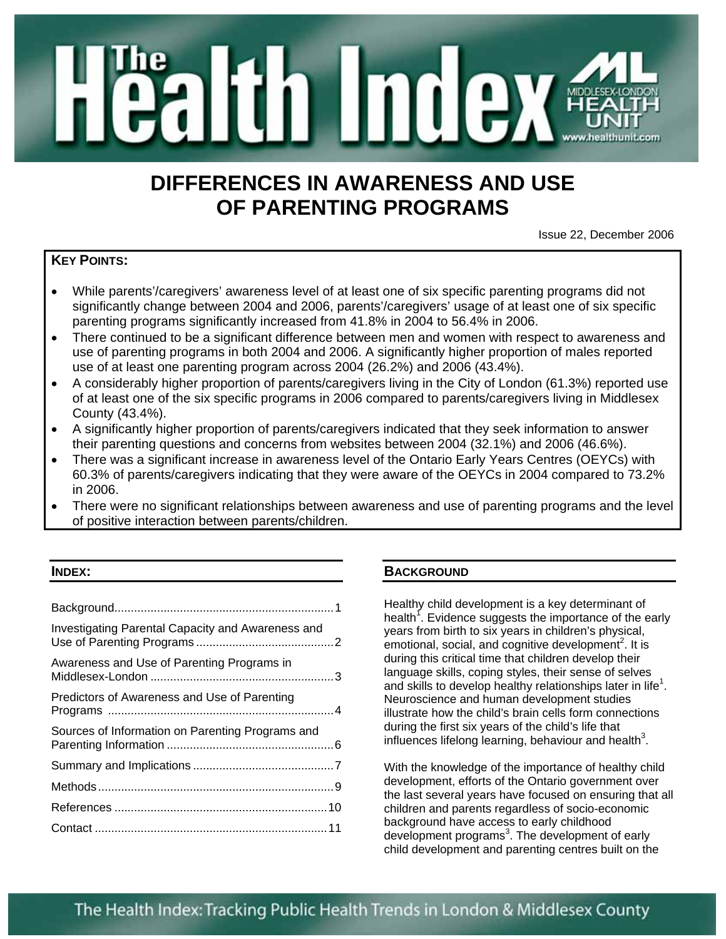

# **DIFFERENCES IN AWARENESS AND USE OF PARENTING PROGRAMS**

Issue 22, December 2006

# **KEY POINTS:**

- While parents'/caregivers' awareness level of at least one of six specific parenting programs did not significantly change between 2004 and 2006, parents'/caregivers' usage of at least one of six specific parenting programs significantly increased from 41.8% in 2004 to 56.4% in 2006.
- There continued to be a significant difference between men and women with respect to awareness and use of parenting programs in both 2004 and 2006. A significantly higher proportion of males reported use of at least one parenting program across 2004 (26.2%) and 2006 (43.4%).
- A considerably higher proportion of parents/caregivers living in the City of London (61.3%) reported use of at least one of the six specific programs in 2006 compared to parents/caregivers living in Middlesex County (43.4%).
- A significantly higher proportion of parents/caregivers indicated that they seek information to answer their parenting questions and concerns from websites between 2004 (32.1%) and 2006 (46.6%).
- There was a significant increase in awareness level of the Ontario Early Years Centres (OEYCs) with 60.3% of parents/caregivers indicating that they were aware of the OEYCs in 2004 compared to 73.2% in 2006.
- There were no significant relationships between awareness and use of parenting programs and the level of positive interaction between parents/children.

## **INDEX:**

| Investigating Parental Capacity and Awareness and |  |
|---------------------------------------------------|--|
| Awareness and Use of Parenting Programs in        |  |
| Predictors of Awareness and Use of Parenting      |  |
| Sources of Information on Parenting Programs and  |  |
|                                                   |  |
|                                                   |  |
|                                                   |  |
|                                                   |  |

# **BACKGROUND**

Healthy child development is a key determinant of health<sup>1</sup>. Evidence suggests the importance of the early years from birth to six years in children's physical, emotional, social, and cognitive development<sup>2</sup>. It is during this critical time that children develop their language skills, coping styles, their sense of selves and skills to develop healthy relationships later in life<sup>1</sup>. Neuroscience and human development studies illustrate how the child's brain cells form connections during the first six years of the child's life that influences lifelong learning, behaviour and health $3$ .

With the knowledge of the importance of healthy child development, efforts of the Ontario government over the last several years have focused on ensuring that all children and parents regardless of socio-economic background have access to early childhood development programs<sup>3</sup>. The development of early child development and parenting centres built on the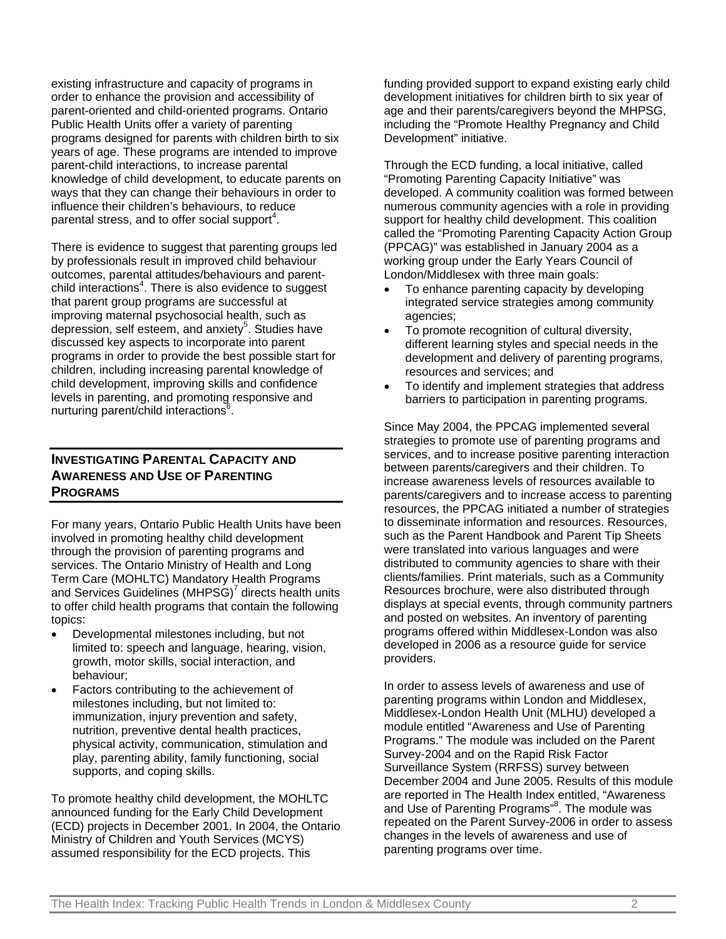existing infrastructure and capacity of programs in order to enhance the provision and accessibility of parent-oriented and child-oriented programs. Ontario Public Health Units offer a variety of parenting programs designed for parents with children birth to six years of age. These programs are intended to improve parent-child interactions, to increase parental knowledge of child development, to educate parents on ways that they can change their behaviours in order to influence their children's behaviours, to reduce parental stress, and to offer social support $^4$ .

There is evidence to suggest that parenting groups led by professionals result in improved child behaviour outcomes, parental attitudes/behaviours and parentchild interactions<sup>4</sup>. There is also evidence to suggest that parent group programs are successful at improving maternal psychosocial health, such as depression, self esteem, and anxiety<sup>5</sup>. Studies have discussed key aspects to incorporate into parent programs in order to provide the best possible start for children, including increasing parental knowledge of child development, improving skills and confidence levels in parenting, and promoting responsive and nurturing parent/child interactions<sup>6</sup>.

# **INVESTIGATING PARENTAL CAPACITY AND AWARENESS AND USE OF PARENTING PROGRAMS**

For many years, Ontario Public Health Units have been involved in promoting healthy child development through the provision of parenting programs and services. The Ontario Ministry of Health and Long Term Care (MOHLTC) Mandatory Health Programs and Services Guidelines (MHPSG)<sup>7</sup> directs health units to offer child health programs that contain the following topics:

- Developmental milestones including, but not limited to: speech and language, hearing, vision, growth, motor skills, social interaction, and behaviour;
- Factors contributing to the achievement of milestones including, but not limited to: immunization, injury prevention and safety, nutrition, preventive dental health practices, physical activity, communication, stimulation and play, parenting ability, family functioning, social supports, and coping skills.

To promote healthy child development, the MOHLTC announced funding for the Early Child Development (ECD) projects in December 2001. In 2004, the Ontario Ministry of Children and Youth Services (MCYS) assumed responsibility for the ECD projects. This

funding provided support to expand existing early child development initiatives for children birth to six year of age and their parents/caregivers beyond the MHPSG, including the "Promote Healthy Pregnancy and Child Development" initiative.

Through the ECD funding, a local initiative, called "Promoting Parenting Capacity Initiative" was developed. A community coalition was formed between numerous community agencies with a role in providing support for healthy child development. This coalition called the "Promoting Parenting Capacity Action Group (PPCAG)" was established in January 2004 as a working group under the Early Years Council of London/Middlesex with three main goals:

- To enhance parenting capacity by developing integrated service strategies among community agencies;
- To promote recognition of cultural diversity, different learning styles and special needs in the development and delivery of parenting programs, resources and services; and
- To identify and implement strategies that address barriers to participation in parenting programs.

Since May 2004, the PPCAG implemented several strategies to promote use of parenting programs and services, and to increase positive parenting interaction between parents/caregivers and their children. To increase awareness levels of resources available to parents/caregivers and to increase access to parenting resources, the PPCAG initiated a number of strategies to disseminate information and resources. Resources, such as the Parent Handbook and Parent Tip Sheets were translated into various languages and were distributed to community agencies to share with their clients/families. Print materials, such as a Community Resources brochure, were also distributed through displays at special events, through community partners and posted on websites. An inventory of parenting programs offered within Middlesex-London was also developed in 2006 as a resource guide for service providers.

In order to assess levels of awareness and use of parenting programs within London and Middlesex, Middlesex-London Health Unit (MLHU) developed a module entitled "Awareness and Use of Parenting Programs." The module was included on the Parent Survey-2004 and on the Rapid Risk Factor Surveillance System (RRFSS) survey between December 2004 and June 2005. Results of this module are reported in The Health Index entitled, "Awareness and Use of Parenting Programs"<sup>8</sup>. The module was repeated on the Parent Survey-2006 in order to assess changes in the levels of awareness and use of parenting programs over time.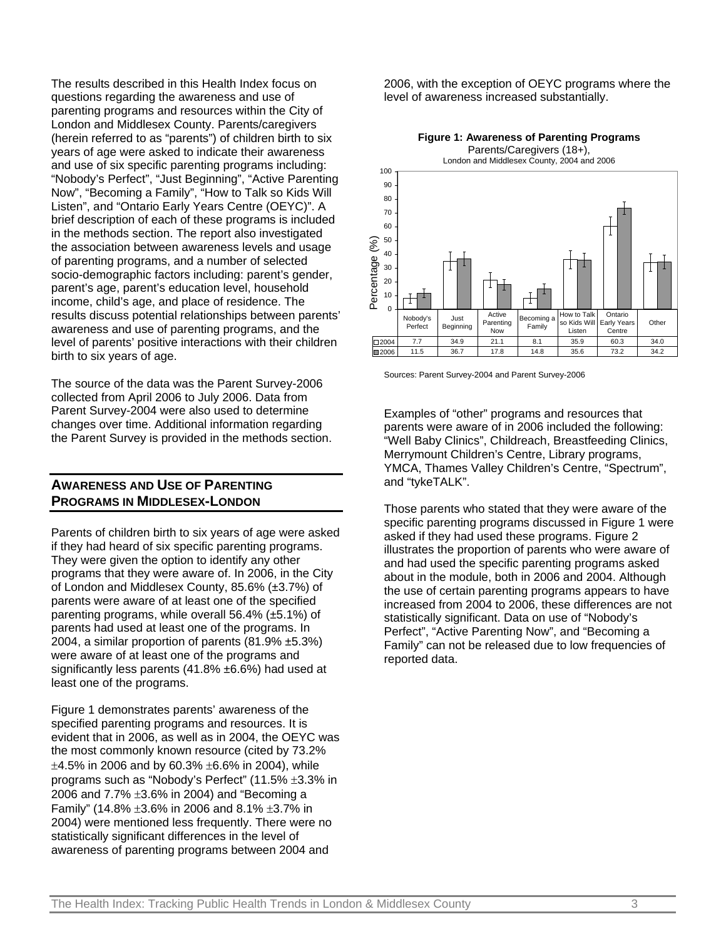The results described in this Health Index focus on questions regarding the awareness and use of parenting programs and resources within the City of London and Middlesex County. Parents/caregivers (herein referred to as "parents") of children birth to six years of age were asked to indicate their awareness and use of six specific parenting programs including: "Nobody's Perfect", "Just Beginning", "Active Parenting Now", "Becoming a Family", "How to Talk so Kids Will Listen", and "Ontario Early Years Centre (OEYC)". A brief description of each of these programs is included in the methods section. The report also investigated the association between awareness levels and usage of parenting programs, and a number of selected socio-demographic factors including: parent's gender, parent's age, parent's education level, household income, child's age, and place of residence. The results discuss potential relationships between parents' awareness and use of parenting programs, and the level of parents' positive interactions with their children birth to six years of age.

The source of the data was the Parent Survey-2006 collected from April 2006 to July 2006. Data from Parent Survey-2004 were also used to determine changes over time. Additional information regarding the Parent Survey is provided in the methods section.

# **AWARENESS AND USE OF PARENTING PROGRAMS IN MIDDLESEX-LONDON**

Parents of children birth to six years of age were asked if they had heard of six specific parenting programs. They were given the option to identify any other programs that they were aware of. In 2006, in the City of London and Middlesex County, 85.6% (±3.7%) of parents were aware of at least one of the specified parenting programs, while overall 56.4% (±5.1%) of parents had used at least one of the programs. In 2004, a similar proportion of parents  $(81.9\% \pm 5.3\%)$ were aware of at least one of the programs and significantly less parents (41.8% ±6.6%) had used at least one of the programs.

Figure 1 demonstrates parents' awareness of the specified parenting programs and resources. It is evident that in 2006, as well as in 2004, the OEYC was the most commonly known resource (cited by 73.2%  $\pm 4.5\%$  in 2006 and by 60.3%  $\pm 6.6\%$  in 2004), while programs such as "Nobody's Perfect" (11.5% ±3.3% in 2006 and  $7.7\% \pm 3.6\%$  in 2004) and "Becoming a Family" (14.8%  $\pm 3.6$ % in 2006 and 8.1%  $\pm 3.7$ % in 2004) were mentioned less frequently. There were no statistically significant differences in the level of awareness of parenting programs between 2004 and

2006, with the exception of OEYC programs where the level of awareness increased substantially.





Sources: Parent Survey-2004 and Parent Survey-2006

Examples of "other" programs and resources that parents were aware of in 2006 included the following: "Well Baby Clinics", Childreach, Breastfeeding Clinics, Merrymount Children's Centre, Library programs, YMCA, Thames Valley Children's Centre, "Spectrum", and "tykeTALK".

Those parents who stated that they were aware of the specific parenting programs discussed in Figure 1 were asked if they had used these programs. Figure 2 illustrates the proportion of parents who were aware of and had used the specific parenting programs asked about in the module, both in 2006 and 2004. Although the use of certain parenting programs appears to have increased from 2004 to 2006, these differences are not statistically significant. Data on use of "Nobody's Perfect", "Active Parenting Now", and "Becoming a Family" can not be released due to low frequencies of reported data.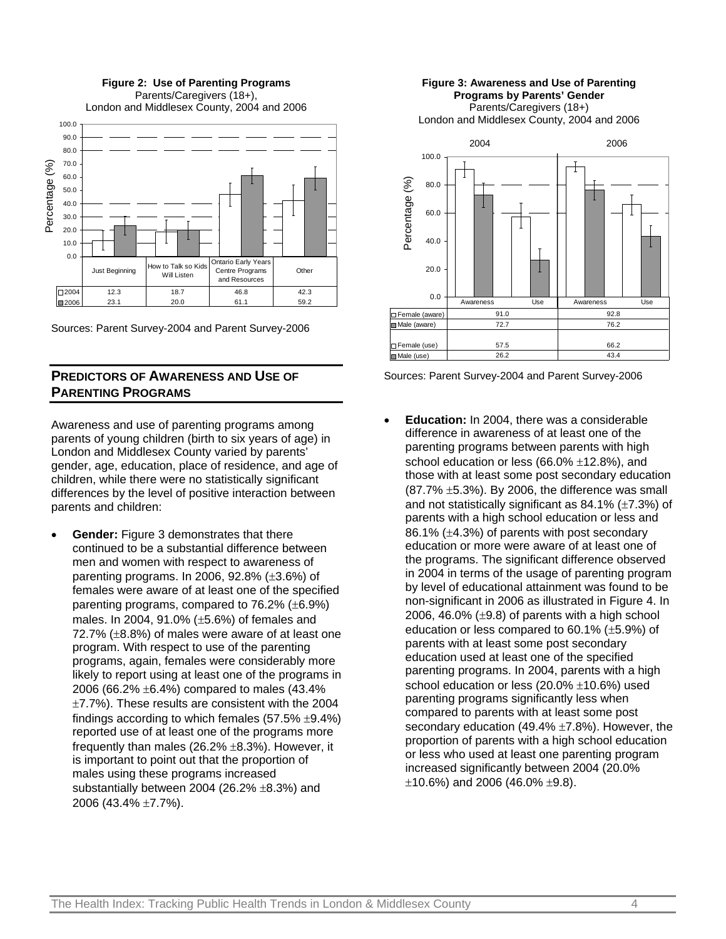**Figure 2: Use of Parenting Programs** Parents/Caregivers (18+), London and Middlesex County, 2004 and 2006 100.0 90.0 80.0 70.0 Percentage (%) Percentage (%) 60.0 50.0 40.0 30.0 20.0 10.0 0.0 Ontario Early Year Just Beginning How to Talk so Kid Centre Programs **Other** Will Lister and Resources 2004 12.3 18.7 46.8 42.3 2006 23.1 20.0 61.1 59.2

Sources: Parent Survey-2004 and Parent Survey-2006

## **PREDICTORS OF AWARENESS AND USE OF PARENTING PROGRAMS**

Awareness and use of parenting programs among parents of young children (birth to six years of age) in London and Middlesex County varied by parents' gender, age, education, place of residence, and age of children, while there were no statistically significant differences by the level of positive interaction between parents and children:

• **Gender:** Figure 3 demonstrates that there continued to be a substantial difference between men and women with respect to awareness of parenting programs. In 2006, 92.8%  $(\pm 3.6%)$  of females were aware of at least one of the specified parenting programs, compared to 76.2% (±6.9%) males. In 2004, 91.0% (±5.6%) of females and 72.7% (±8.8%) of males were aware of at least one program. With respect to use of the parenting programs, again, females were considerably more likely to report using at least one of the programs in 2006 (66.2% ±6.4%) compared to males (43.4%  $\pm$ 7.7%). These results are consistent with the 2004 findings according to which females  $(57.5\% \pm 9.4\%)$ reported use of at least one of the programs more frequently than males  $(26.2\% \pm 8.3\%)$ . However, it is important to point out that the proportion of males using these programs increased substantially between 2004 (26.2% ±8.3%) and 2006 (43.4% ±7.7%).

#### **Figure 3: Awareness and Use of Parenting Programs by Parents' Gender** Parents/Caregivers (18+)

London and Middlesex County, 2004 and 2006



Sources: Parent Survey-2004 and Parent Survey-2006

• **Education:** In 2004, there was a considerable difference in awareness of at least one of the parenting programs between parents with high school education or less (66.0% ±12.8%), and those with at least some post secondary education  $(87.7\% \pm 5.3\%)$ . By 2006, the difference was small and not statistically significant as  $84.1\%$  ( $\pm 7.3\%$ ) of parents with a high school education or less and 86.1% (±4.3%) of parents with post secondary education or more were aware of at least one of the programs. The significant difference observed in 2004 in terms of the usage of parenting program by level of educational attainment was found to be non-significant in 2006 as illustrated in Figure 4. In 2006, 46.0%  $(\pm 9.8)$  of parents with a high school education or less compared to 60.1% (±5.9%) of parents with at least some post secondary education used at least one of the specified parenting programs. In 2004, parents with a high school education or less (20.0% ±10.6%) used parenting programs significantly less when compared to parents with at least some post secondary education (49.4% ±7.8%). However, the proportion of parents with a high school education or less who used at least one parenting program increased significantly between 2004 (20.0%  $\pm$ 10.6%) and 2006 (46.0%  $\pm$ 9.8).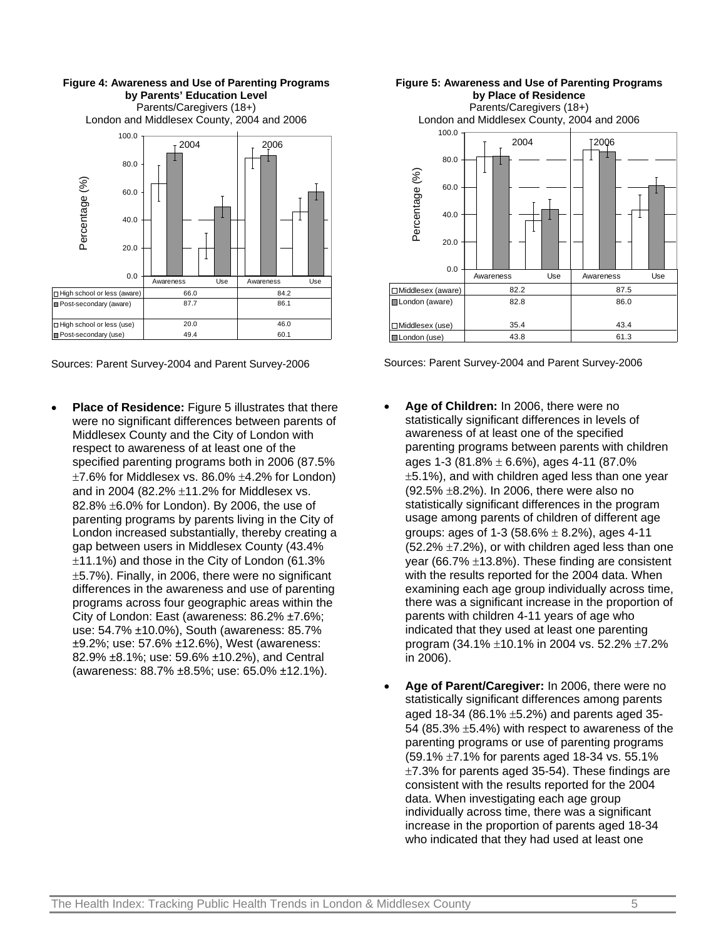



• **Place of Residence:** Figure 5 illustrates that there were no significant differences between parents of Middlesex County and the City of London with respect to awareness of at least one of the specified parenting programs both in 2006 (87.5%  $\pm$ 7.6% for Middlesex vs. 86.0%  $\pm$ 4.2% for London) and in 2004 (82.2%  $\pm$ 11.2% for Middlesex vs. 82.8% ±6.0% for London). By 2006, the use of parenting programs by parents living in the City of London increased substantially, thereby creating a gap between users in Middlesex County (43.4% ±11.1%) and those in the City of London (61.3% ±5.7%). Finally, in 2006, there were no significant differences in the awareness and use of parenting programs across four geographic areas within the City of London: East (awareness: 86.2% ±7.6%; use: 54.7% ±10.0%), South (awareness: 85.7% ±9.2%; use: 57.6% ±12.6%), West (awareness: 82.9% ±8.1%; use: 59.6% ±10.2%), and Central (awareness: 88.7% ±8.5%; use: 65.0% ±12.1%).





Sources: Parent Survey-2004 and Parent Survey-2006

- **Age of Children:** In 2006, there were no statistically significant differences in levels of awareness of at least one of the specified parenting programs between parents with children ages 1-3 (81.8%  $\pm$  6.6%), ages 4-11 (87.0% ±5.1%), and with children aged less than one year (92.5% ±8.2%). In 2006, there were also no statistically significant differences in the program usage among parents of children of different age groups: ages of 1-3 (58.6%  $\pm$  8.2%), ages 4-11  $(52.2\% \pm 7.2\%)$ , or with children aged less than one year (66.7% ±13.8%). These finding are consistent with the results reported for the 2004 data. When examining each age group individually across time, there was a significant increase in the proportion of parents with children 4-11 years of age who indicated that they used at least one parenting program (34.1% ±10.1% in 2004 vs. 52.2% ±7.2% in 2006).
- **Age of Parent/Caregiver:** In 2006, there were no statistically significant differences among parents aged 18-34 (86.1%  $\pm$ 5.2%) and parents aged 35-54 (85.3% ±5.4%) with respect to awareness of the parenting programs or use of parenting programs (59.1% ±7.1% for parents aged 18-34 vs. 55.1%  $\pm$ 7.3% for parents aged 35-54). These findings are consistent with the results reported for the 2004 data. When investigating each age group individually across time, there was a significant increase in the proportion of parents aged 18-34 who indicated that they had used at least one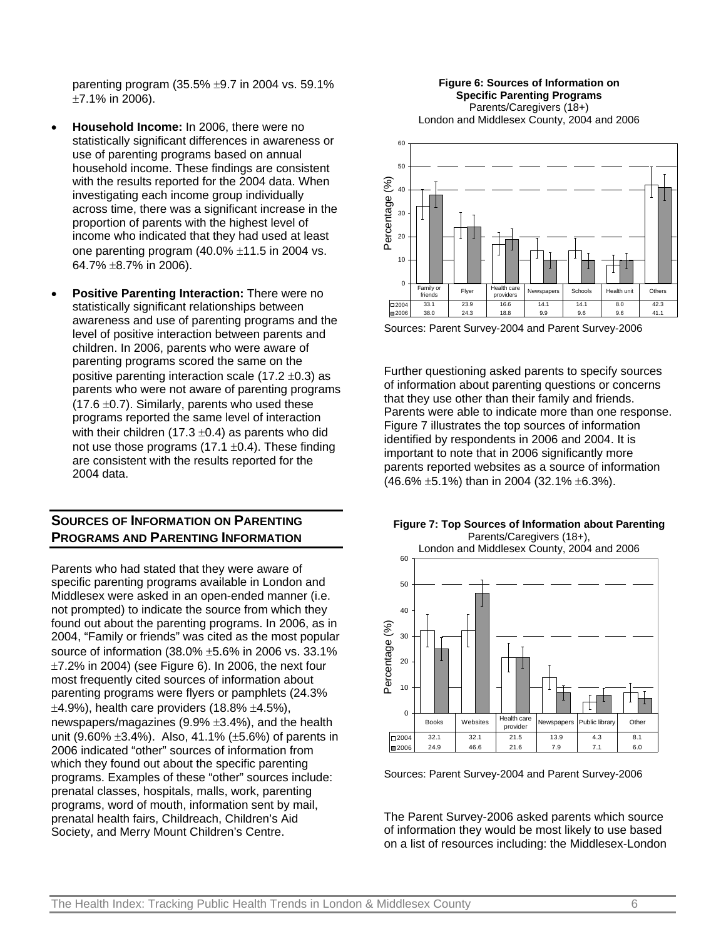parenting program (35.5%  $\pm$ 9.7 in 2004 vs. 59.1% ±7.1% in 2006).

- **Household Income:** In 2006, there were no statistically significant differences in awareness or use of parenting programs based on annual household income. These findings are consistent with the results reported for the 2004 data. When investigating each income group individually across time, there was a significant increase in the proportion of parents with the highest level of income who indicated that they had used at least one parenting program  $(40.0\% \pm 11.5)$  in 2004 vs. 64.7% ±8.7% in 2006).
- **Positive Parenting Interaction:** There were no statistically significant relationships between awareness and use of parenting programs and the level of positive interaction between parents and children. In 2006, parents who were aware of parenting programs scored the same on the positive parenting interaction scale (17.2  $\pm$ 0.3) as parents who were not aware of parenting programs  $(17.6 \pm 0.7)$ . Similarly, parents who used these programs reported the same level of interaction with their children (17.3  $\pm$ 0.4) as parents who did not use those programs  $(17.1 \pm 0.4)$ . These finding are consistent with the results reported for the 2004 data.

## **SOURCES OF INFORMATION ON PARENTING PROGRAMS AND PARENTING INFORMATION**

Parents who had stated that they were aware of specific parenting programs available in London and Middlesex were asked in an open-ended manner (i.e. not prompted) to indicate the source from which they found out about the parenting programs. In 2006, as in 2004, "Family or friends" was cited as the most popular source of information (38.0% ±5.6% in 2006 vs. 33.1%  $\pm$ 7.2% in 2004) (see Figure 6). In 2006, the next four most frequently cited sources of information about parenting programs were flyers or pamphlets (24.3%  $\pm$ 4.9%), health care providers (18.8%  $\pm$ 4.5%), newspapers/magazines (9.9% ±3.4%), and the health unit (9.60%  $\pm 3.4$ %). Also, 41.1% ( $\pm 5.6$ %) of parents in 2006 indicated "other" sources of information from which they found out about the specific parenting programs. Examples of these "other" sources include: prenatal classes, hospitals, malls, work, parenting programs, word of mouth, information sent by mail, prenatal health fairs, Childreach, Children's Aid Society, and Merry Mount Children's Centre.

**Figure 6: Sources of Information on Specific Parenting Programs** Parents/Caregivers (18+) London and Middlesex County, 2004 and 2006



Sources: Parent Survey-2004 and Parent Survey-2006

Further questioning asked parents to specify sources of information about parenting questions or concerns that they use other than their family and friends. Parents were able to indicate more than one response. Figure 7 illustrates the top sources of information identified by respondents in 2006 and 2004. It is important to note that in 2006 significantly more parents reported websites as a source of information (46.6% ±5.1%) than in 2004 (32.1% ±6.3%).



Sources: Parent Survey-2004 and Parent Survey-2006

The Parent Survey-2006 asked parents which source of information they would be most likely to use based on a list of resources including: the Middlesex-London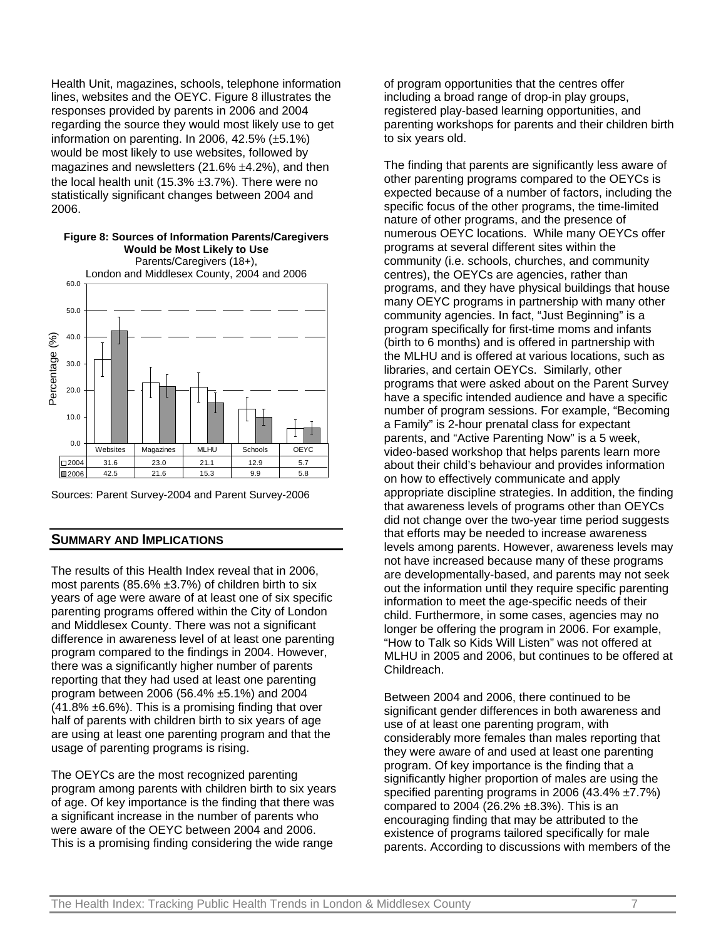Health Unit, magazines, schools, telephone information lines, websites and the OEYC. Figure 8 illustrates the responses provided by parents in 2006 and 2004 regarding the source they would most likely use to get information on parenting. In 2006,  $42.5\%$  ( $\pm 5.1\%$ ) would be most likely to use websites, followed by magazines and newsletters  $(21.6\% \pm 4.2\%)$ , and then the local health unit (15.3%  $\pm$ 3.7%). There were no statistically significant changes between 2004 and 2006.



Sources: Parent Survey-2004 and Parent Survey-2006

#### **SUMMARY AND IMPLICATIONS**

The results of this Health Index reveal that in 2006, most parents (85.6%  $\pm$ 3.7%) of children birth to six years of age were aware of at least one of six specific parenting programs offered within the City of London and Middlesex County. There was not a significant difference in awareness level of at least one parenting program compared to the findings in 2004. However, there was a significantly higher number of parents reporting that they had used at least one parenting program between 2006 (56.4% ±5.1%) and 2004  $(41.8\% \pm 6.6\%)$ . This is a promising finding that over half of parents with children birth to six years of age are using at least one parenting program and that the usage of parenting programs is rising.

The OEYCs are the most recognized parenting program among parents with children birth to six years of age. Of key importance is the finding that there was a significant increase in the number of parents who were aware of the OEYC between 2004 and 2006. This is a promising finding considering the wide range

of program opportunities that the centres offer including a broad range of drop-in play groups, registered play-based learning opportunities, and parenting workshops for parents and their children birth to six years old.

The finding that parents are significantly less aware of other parenting programs compared to the OEYCs is expected because of a number of factors, including the specific focus of the other programs, the time-limited nature of other programs, and the presence of numerous OEYC locations. While many OEYCs offer programs at several different sites within the community (i.e. schools, churches, and community centres), the OEYCs are agencies, rather than programs, and they have physical buildings that house many OEYC programs in partnership with many other community agencies. In fact, "Just Beginning" is a program specifically for first-time moms and infants (birth to 6 months) and is offered in partnership with the MLHU and is offered at various locations, such as libraries, and certain OEYCs. Similarly, other programs that were asked about on the Parent Survey have a specific intended audience and have a specific number of program sessions. For example, "Becoming a Family" is 2-hour prenatal class for expectant parents, and "Active Parenting Now" is a 5 week, video-based workshop that helps parents learn more about their child's behaviour and provides information on how to effectively communicate and apply appropriate discipline strategies. In addition, the finding that awareness levels of programs other than OEYCs did not change over the two-year time period suggests that efforts may be needed to increase awareness levels among parents. However, awareness levels may not have increased because many of these programs are developmentally-based, and parents may not seek out the information until they require specific parenting information to meet the age-specific needs of their child. Furthermore, in some cases, agencies may no longer be offering the program in 2006. For example, "How to Talk so Kids Will Listen" was not offered at MLHU in 2005 and 2006, but continues to be offered at Childreach.

Between 2004 and 2006, there continued to be significant gender differences in both awareness and use of at least one parenting program, with considerably more females than males reporting that they were aware of and used at least one parenting program. Of key importance is the finding that a significantly higher proportion of males are using the specified parenting programs in 2006 (43.4% ±7.7%) compared to 2004 (26.2%  $\pm$ 8.3%). This is an encouraging finding that may be attributed to the existence of programs tailored specifically for male parents. According to discussions with members of the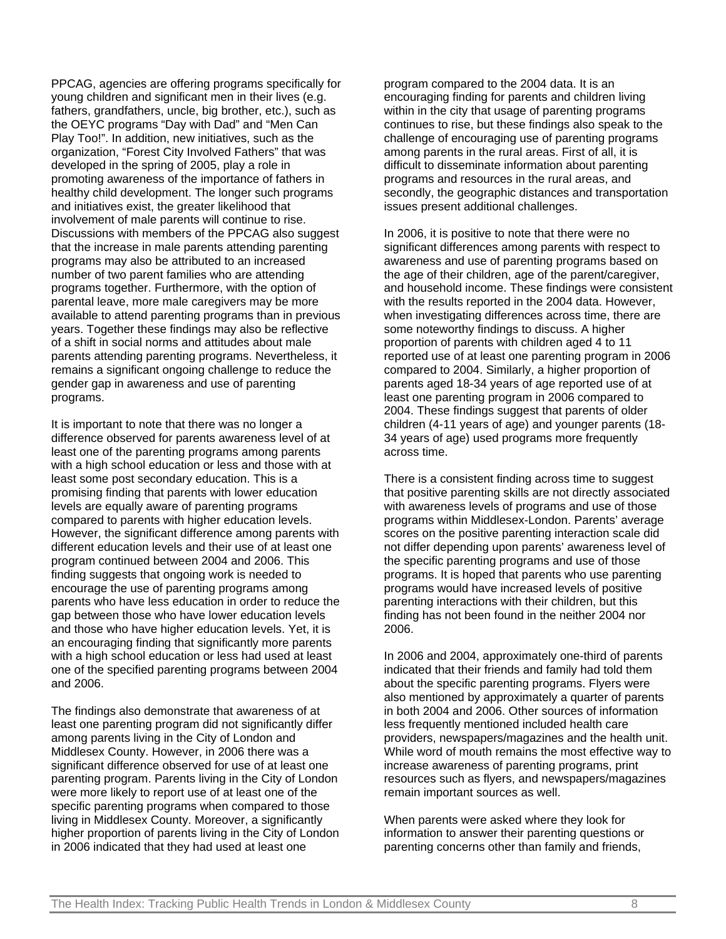PPCAG, agencies are offering programs specifically for young children and significant men in their lives (e.g. fathers, grandfathers, uncle, big brother, etc.), such as the OEYC programs "Day with Dad" and "Men Can Play Too!". In addition, new initiatives, such as the organization, "Forest City Involved Fathers" that was developed in the spring of 2005, play a role in promoting awareness of the importance of fathers in healthy child development. The longer such programs and initiatives exist, the greater likelihood that involvement of male parents will continue to rise. Discussions with members of the PPCAG also suggest that the increase in male parents attending parenting programs may also be attributed to an increased number of two parent families who are attending programs together. Furthermore, with the option of parental leave, more male caregivers may be more available to attend parenting programs than in previous years. Together these findings may also be reflective of a shift in social norms and attitudes about male parents attending parenting programs. Nevertheless, it remains a significant ongoing challenge to reduce the gender gap in awareness and use of parenting programs.

It is important to note that there was no longer a difference observed for parents awareness level of at least one of the parenting programs among parents with a high school education or less and those with at least some post secondary education. This is a promising finding that parents with lower education levels are equally aware of parenting programs compared to parents with higher education levels. However, the significant difference among parents with different education levels and their use of at least one program continued between 2004 and 2006. This finding suggests that ongoing work is needed to encourage the use of parenting programs among parents who have less education in order to reduce the gap between those who have lower education levels and those who have higher education levels. Yet, it is an encouraging finding that significantly more parents with a high school education or less had used at least one of the specified parenting programs between 2004 and 2006.

The findings also demonstrate that awareness of at least one parenting program did not significantly differ among parents living in the City of London and Middlesex County. However, in 2006 there was a significant difference observed for use of at least one parenting program. Parents living in the City of London were more likely to report use of at least one of the specific parenting programs when compared to those living in Middlesex County. Moreover, a significantly higher proportion of parents living in the City of London in 2006 indicated that they had used at least one

program compared to the 2004 data. It is an encouraging finding for parents and children living within in the city that usage of parenting programs continues to rise, but these findings also speak to the challenge of encouraging use of parenting programs among parents in the rural areas. First of all, it is difficult to disseminate information about parenting programs and resources in the rural areas, and secondly, the geographic distances and transportation issues present additional challenges.

In 2006, it is positive to note that there were no significant differences among parents with respect to awareness and use of parenting programs based on the age of their children, age of the parent/caregiver, and household income. These findings were consistent with the results reported in the 2004 data. However, when investigating differences across time, there are some noteworthy findings to discuss. A higher proportion of parents with children aged 4 to 11 reported use of at least one parenting program in 2006 compared to 2004. Similarly, a higher proportion of parents aged 18-34 years of age reported use of at least one parenting program in 2006 compared to 2004. These findings suggest that parents of older children (4-11 years of age) and younger parents (18- 34 years of age) used programs more frequently across time.

There is a consistent finding across time to suggest that positive parenting skills are not directly associated with awareness levels of programs and use of those programs within Middlesex-London. Parents' average scores on the positive parenting interaction scale did not differ depending upon parents' awareness level of the specific parenting programs and use of those programs. It is hoped that parents who use parenting programs would have increased levels of positive parenting interactions with their children, but this finding has not been found in the neither 2004 nor 2006.

In 2006 and 2004, approximately one-third of parents indicated that their friends and family had told them about the specific parenting programs. Flyers were also mentioned by approximately a quarter of parents in both 2004 and 2006. Other sources of information less frequently mentioned included health care providers, newspapers/magazines and the health unit. While word of mouth remains the most effective way to increase awareness of parenting programs, print resources such as flyers, and newspapers/magazines remain important sources as well.

When parents were asked where they look for information to answer their parenting questions or parenting concerns other than family and friends,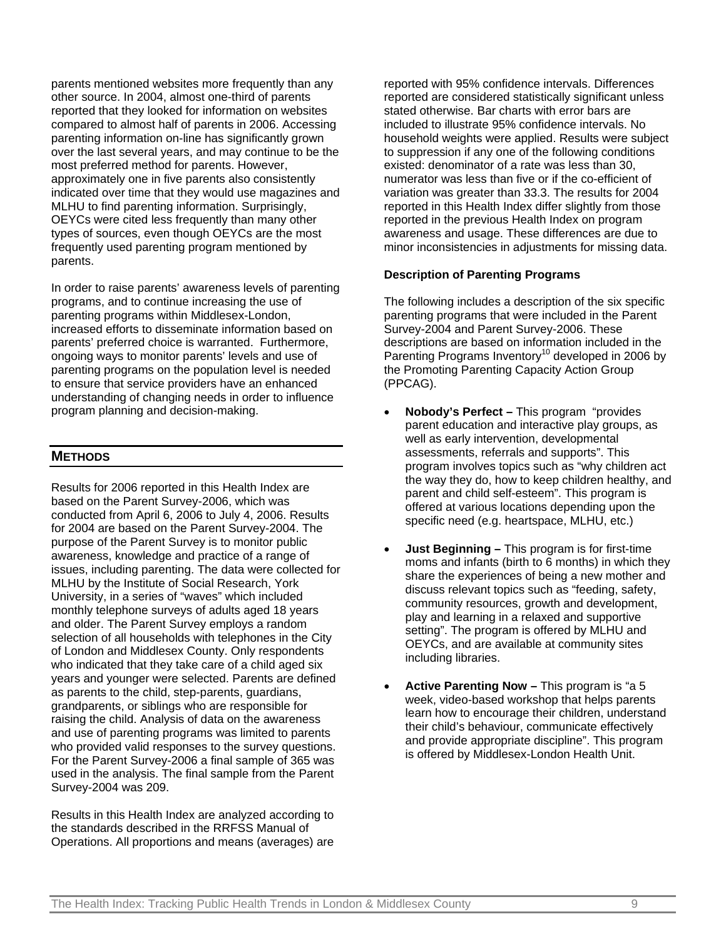parents mentioned websites more frequently than any other source. In 2004, almost one-third of parents reported that they looked for information on websites compared to almost half of parents in 2006. Accessing parenting information on-line has significantly grown over the last several years, and may continue to be the most preferred method for parents. However, approximately one in five parents also consistently indicated over time that they would use magazines and MLHU to find parenting information. Surprisingly, OEYCs were cited less frequently than many other types of sources, even though OEYCs are the most frequently used parenting program mentioned by parents.

In order to raise parents' awareness levels of parenting programs, and to continue increasing the use of parenting programs within Middlesex-London, increased efforts to disseminate information based on parents' preferred choice is warranted. Furthermore, ongoing ways to monitor parents' levels and use of parenting programs on the population level is needed to ensure that service providers have an enhanced understanding of changing needs in order to influence program planning and decision-making.

### **METHODS**

Results for 2006 reported in this Health Index are based on the Parent Survey-2006, which was conducted from April 6, 2006 to July 4, 2006. Results for 2004 are based on the Parent Survey-2004. The purpose of the Parent Survey is to monitor public awareness, knowledge and practice of a range of issues, including parenting. The data were collected for MLHU by the Institute of Social Research, York University, in a series of "waves" which included monthly telephone surveys of adults aged 18 years and older. The Parent Survey employs a random selection of all households with telephones in the City of London and Middlesex County. Only respondents who indicated that they take care of a child aged six years and younger were selected. Parents are defined as parents to the child, step-parents, guardians, grandparents, or siblings who are responsible for raising the child. Analysis of data on the awareness and use of parenting programs was limited to parents who provided valid responses to the survey questions. For the Parent Survey-2006 a final sample of 365 was used in the analysis. The final sample from the Parent Survey-2004 was 209.

Results in this Health Index are analyzed according to the standards described in the RRFSS Manual of Operations. All proportions and means (averages) are

reported with 95% confidence intervals. Differences reported are considered statistically significant unless stated otherwise. Bar charts with error bars are included to illustrate 95% confidence intervals. No household weights were applied. Results were subject to suppression if any one of the following conditions existed: denominator of a rate was less than 30, numerator was less than five or if the co-efficient of variation was greater than 33.3. The results for 2004 reported in this Health Index differ slightly from those reported in the previous Health Index on program awareness and usage. These differences are due to minor inconsistencies in adjustments for missing data.

#### **Description of Parenting Programs**

The following includes a description of the six specific parenting programs that were included in the Parent Survey-2004 and Parent Survey-2006. These descriptions are based on information included in the Parenting Programs Inventory<sup>10</sup> developed in 2006 by the Promoting Parenting Capacity Action Group (PPCAG).

- **Nobody's Perfect –** This program "provides parent education and interactive play groups, as well as early intervention, developmental assessments, referrals and supports". This program involves topics such as "why children act the way they do, how to keep children healthy, and parent and child self-esteem". This program is offered at various locations depending upon the specific need (e.g. heartspace, MLHU, etc.)
- **Just Beginning –** This program is for first-time moms and infants (birth to 6 months) in which they share the experiences of being a new mother and discuss relevant topics such as "feeding, safety, community resources, growth and development, play and learning in a relaxed and supportive setting". The program is offered by MLHU and OEYCs, and are available at community sites including libraries.
- **Active Parenting Now –** This program is "a 5 week, video-based workshop that helps parents learn how to encourage their children, understand their child's behaviour, communicate effectively and provide appropriate discipline". This program is offered by Middlesex-London Health Unit.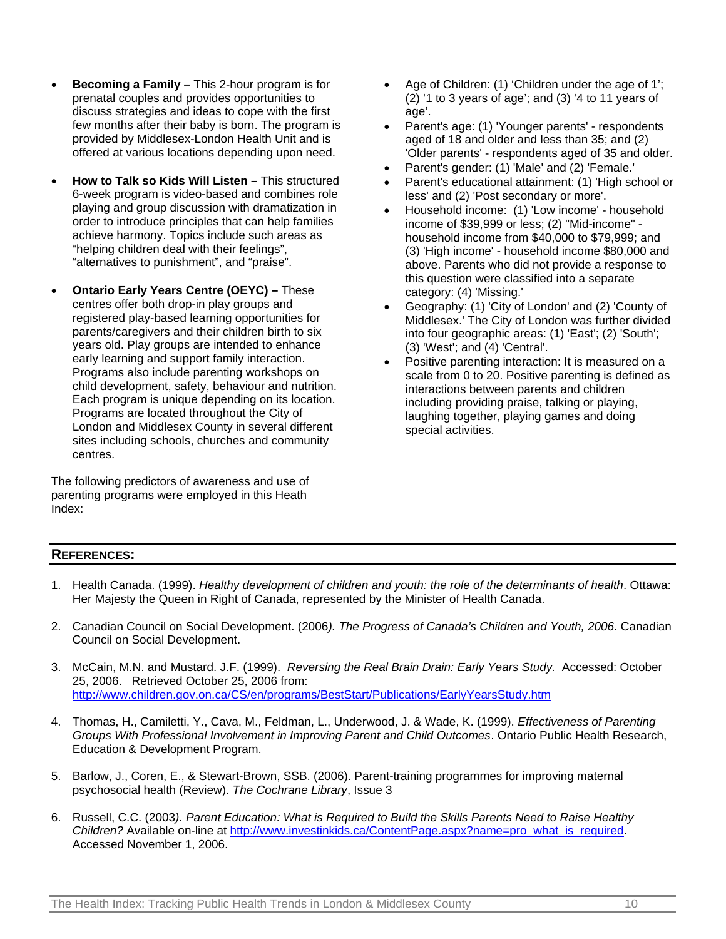- **Becoming a Family** This 2-hour program is for prenatal couples and provides opportunities to discuss strategies and ideas to cope with the first few months after their baby is born. The program is provided by Middlesex-London Health Unit and is offered at various locations depending upon need.
- **How to Talk so Kids Will Listen** This structured 6-week program is video-based and combines role playing and group discussion with dramatization in order to introduce principles that can help families achieve harmony. Topics include such areas as "helping children deal with their feelings", "alternatives to punishment", and "praise".
- **Ontario Early Years Centre (OEYC)** These centres offer both drop-in play groups and registered play-based learning opportunities for parents/caregivers and their children birth to six years old. Play groups are intended to enhance early learning and support family interaction. Programs also include parenting workshops on child development, safety, behaviour and nutrition. Each program is unique depending on its location. Programs are located throughout the City of London and Middlesex County in several different sites including schools, churches and community centres.

The following predictors of awareness and use of parenting programs were employed in this Heath Index:

- Age of Children: (1) 'Children under the age of 1'; (2) '1 to 3 years of age'; and (3) '4 to 11 years of age'.
- Parent's age: (1) 'Younger parents' respondents aged of 18 and older and less than 35; and (2) 'Older parents' - respondents aged of 35 and older.
- Parent's gender: (1) 'Male' and (2) 'Female.'
- Parent's educational attainment: (1) 'High school or less' and (2) 'Post secondary or more'.
- Household income: (1) 'Low income' household income of \$39,999 or less; (2) "Mid-income" household income from \$40,000 to \$79,999; and (3) 'High income' - household income \$80,000 and above. Parents who did not provide a response to this question were classified into a separate category: (4) 'Missing.'
- Geography: (1) 'City of London' and (2) 'County of Middlesex.' The City of London was further divided into four geographic areas: (1) 'East'; (2) 'South'; (3) 'West'; and (4) 'Central'.
- Positive parenting interaction: It is measured on a scale from 0 to 20. Positive parenting is defined as interactions between parents and children including providing praise, talking or playing, laughing together, playing games and doing special activities.

## **REFERENCES:**

- 1. Health Canada. (1999). *Healthy development of children and youth: the role of the determinants of health*. Ottawa: Her Majesty the Queen in Right of Canada, represented by the Minister of Health Canada.
- 2. Canadian Council on Social Development. (2006*). The Progress of Canada's Children and Youth, 2006*. Canadian Council on Social Development.
- 3. McCain, M.N. and Mustard. J.F. (1999). *Reversing the Real Brain Drain: Early Years Study.* Accessed: October 25, 2006. Retrieved October 25, 2006 from: http://www.children.gov.on.ca/CS/en/programs/BestStart/Publications/EarlyYearsStudy.htm
- 4. Thomas, H., Camiletti, Y., Cava, M., Feldman, L., Underwood, J. & Wade, K. (1999). *Effectiveness of Parenting Groups With Professional Involvement in Improving Parent and Child Outcomes*. Ontario Public Health Research, Education & Development Program.
- 5. Barlow, J., Coren, E., & Stewart-Brown, SSB. (2006). Parent-training programmes for improving maternal psychosocial health (Review). *The Cochrane Library*, Issue 3
- 6. Russell, C.C. (2003*). Parent Education: What is Required to Build the Skills Parents Need to Raise Healthy Children?* Available on-line at http://www.investinkids.ca/ContentPage.aspx?name=pro\_what\_is\_required. Accessed November 1, 2006.